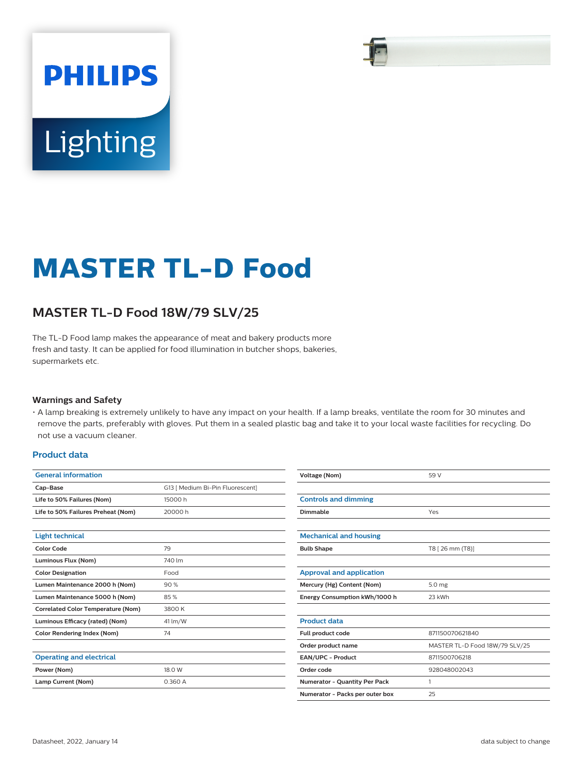# **PHILIPS** Lighting

## **MASTER TL-D Food**

### **MASTER TL-D Food 18W/79 SLV/25**

The TL-D Food lamp makes the appearance of meat and bakery products more fresh and tasty. It can be applied for food illumination in butcher shops, bakeries, supermarkets etc.

#### **Warnings and Safety**

• A lamp breaking is extremely unlikely to have any impact on your health. If a lamp breaks, ventilate the room for 30 minutes and remove the parts, preferably with gloves. Put them in a sealed plastic bag and take it to your local waste facilities for recycling. Do not use a vacuum cleaner.

#### **Product data**

| <b>General information</b>                |                                  | Voltage (Nom)                         | 59 V                           |  |
|-------------------------------------------|----------------------------------|---------------------------------------|--------------------------------|--|
| Cap-Base                                  | G13   Medium Bi-Pin Fluorescent] |                                       |                                |  |
| Life to 50% Failures (Nom)                | 15000h                           | <b>Controls and dimming</b>           |                                |  |
| Life to 50% Failures Preheat (Nom)        | 20000 h                          | Dimmable                              | Yes                            |  |
| <b>Light technical</b>                    |                                  | <b>Mechanical and housing</b>         |                                |  |
| Color Code                                | 79                               | T8 [ 26 mm (T8)]<br><b>Bulb Shape</b> |                                |  |
| Luminous Flux (Nom)                       | 740 lm                           |                                       |                                |  |
| <b>Color Designation</b>                  | Food                             | <b>Approval and application</b>       |                                |  |
| Lumen Maintenance 2000 h (Nom)            | 90%                              | Mercury (Hg) Content (Nom)            | 5.0 mg                         |  |
| Lumen Maintenance 5000 h (Nom)            | 85%                              | Energy Consumption kWh/1000 h         | 23 kWh                         |  |
| <b>Correlated Color Temperature (Nom)</b> | 3800 K                           |                                       |                                |  |
| Luminous Efficacy (rated) (Nom)           | 41 lm/W                          | <b>Product data</b>                   |                                |  |
| <b>Color Rendering Index (Nom)</b>        | 74                               | Full product code                     | 871150070621840                |  |
|                                           |                                  | Order product name                    | MASTER TL-D Food 18W/79 SLV/25 |  |
| <b>Operating and electrical</b>           |                                  | EAN/UPC - Product                     | 8711500706218                  |  |
| Power (Nom)                               | 18.0 W                           | Order code<br>928048002043            |                                |  |
| Lamp Current (Nom)                        | 0.360 A                          | Numerator - Quantity Per Pack         |                                |  |
|                                           |                                  | Numerator - Packs per outer box       | 25                             |  |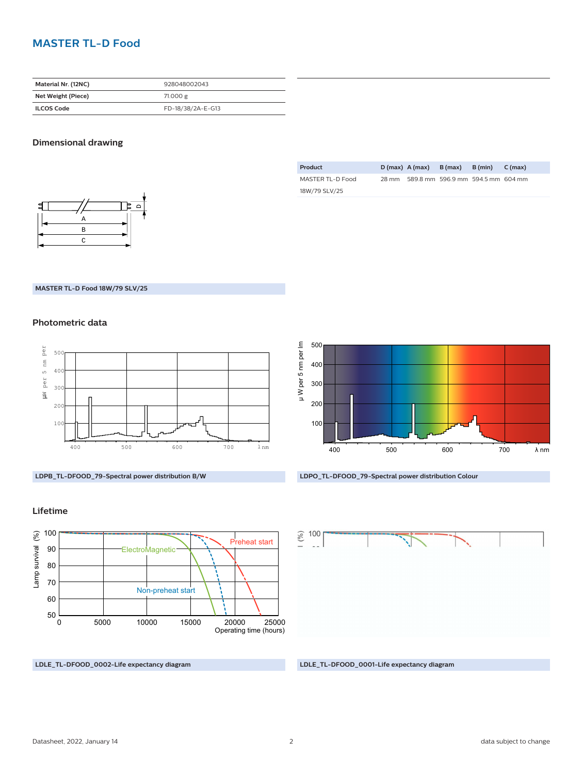#### **MASTER TL-D Food**

| Material Nr. (12NC) | 928048002043      |  |
|---------------------|-------------------|--|
| Net Weight (Piece)  | 71.000 g          |  |
| <b>ILCOS Code</b>   | FD-18/38/2A-E-G13 |  |

#### **Dimensional drawing**



| Product          |       | $D(max)$ A (max) | B (max)                           | B (min) | C (max) |
|------------------|-------|------------------|-----------------------------------|---------|---------|
| MASTER TL-D Food | 28 mm |                  | 589.8 mm 596.9 mm 594.5 mm 604 mm |         |         |
| 18W/79 SLV/25    |       |                  |                                   |         |         |

#### **MASTER TL-D Food 18W/79 SLV/25**

#### **Photometric data**



**LDPB\_TL-DFOOD\_79-Spectral power distribution B/W**

#### **Lifetime**



**LDLE\_TL-DFOOD\_0002-Life expectancy diagram LDLE\_TL-DFOOD\_0001-Life expectancy diagram**